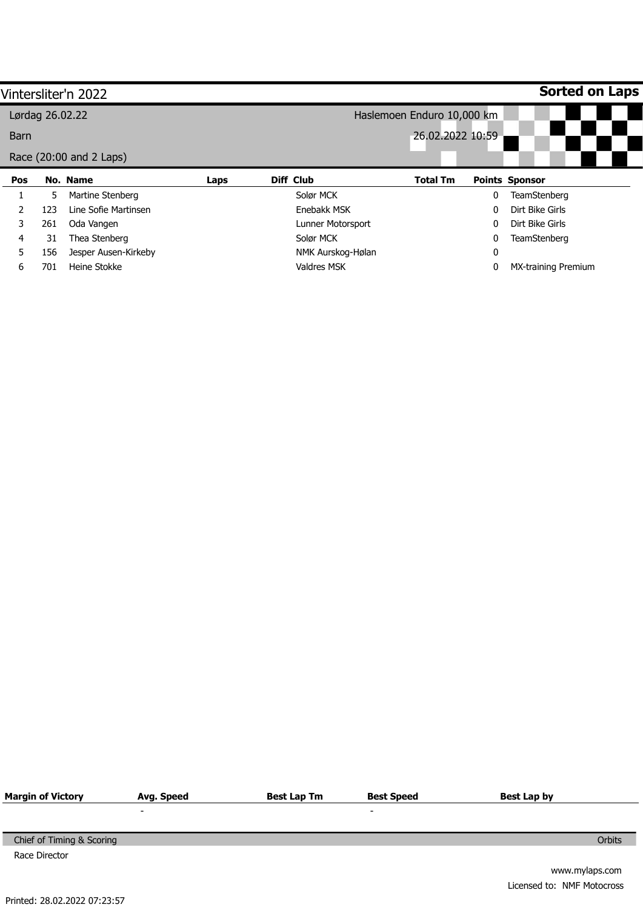|                 |     | Vintersliter'n 2022     |      |                            |                  |   | <b>Sorted on Laps</b>      |  |
|-----------------|-----|-------------------------|------|----------------------------|------------------|---|----------------------------|--|
| Lørdag 26.02.22 |     |                         |      | Haslemoen Enduro 10,000 km |                  |   |                            |  |
| <b>Barn</b>     |     |                         |      |                            | 26.02.2022 10:59 |   |                            |  |
|                 |     | Race (20:00 and 2 Laps) |      |                            |                  |   |                            |  |
| Pos             |     | No. Name                | Laps | Diff Club                  | <b>Total Tm</b>  |   | <b>Points Sponsor</b>      |  |
|                 | 5   | Martine Stenberg        |      | Solør MCK                  |                  | 0 | <b>TeamStenberg</b>        |  |
|                 | 123 | Line Sofie Martinsen    |      | Enebakk MSK                |                  | 0 | Dirt Bike Girls            |  |
| 3               | 261 | Oda Vangen              |      | Lunner Motorsport          |                  | 0 | Dirt Bike Girls            |  |
| 4               | 31  | Thea Stenberg           |      | Solør MCK                  |                  | 0 | TeamStenberg               |  |
| 5               | 156 | Jesper Ausen-Kirkeby    |      | NMK Aurskog-Hølan          |                  | 0 |                            |  |
| 6               | 701 | Heine Stokke            |      | Valdres MSK                |                  |   | <b>MX-training Premium</b> |  |

| <b>Margin of Victory</b>  | Avg. Speed     | <b>Best Lap Tm</b> | <b>Best Speed</b>        | Best Lap by                |
|---------------------------|----------------|--------------------|--------------------------|----------------------------|
|                           | $\blacksquare$ |                    | $\overline{\phantom{a}}$ |                            |
|                           |                |                    |                          |                            |
| Chief of Timing & Scoring |                |                    |                          | Orbits                     |
| Race Director             |                |                    |                          |                            |
|                           |                |                    |                          | www.mylaps.com             |
|                           |                |                    |                          | Licensed to: NMF Motocross |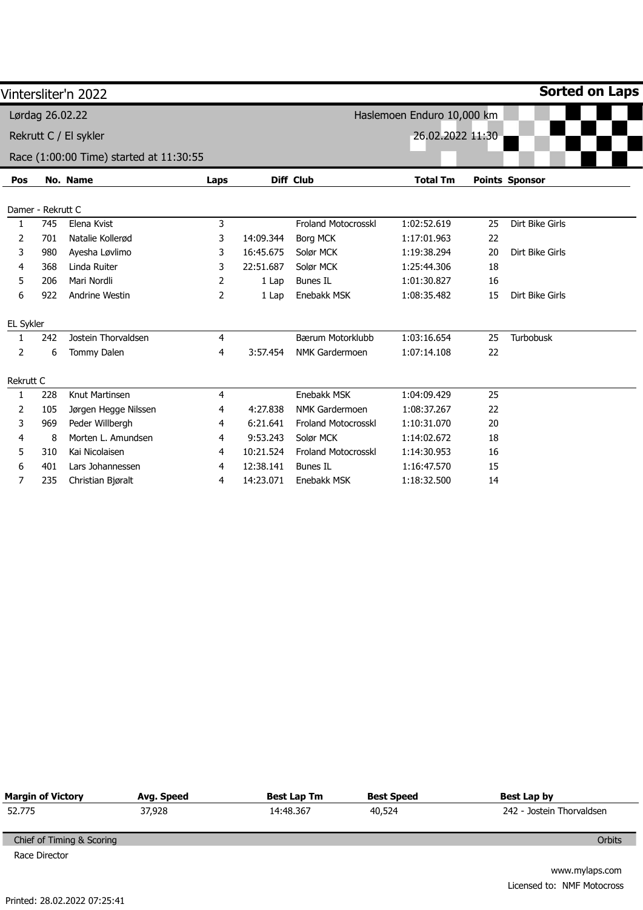|                |                   | Vintersliter'n 2022                     |      |           |                            |                            |    | <b>Sorted on Laps</b> |
|----------------|-------------------|-----------------------------------------|------|-----------|----------------------------|----------------------------|----|-----------------------|
|                | Lørdag 26.02.22   |                                         |      |           |                            | Haslemoen Enduro 10,000 km |    |                       |
|                |                   | Rekrutt C / El sykler                   |      |           |                            | 26.02.2022 11:30           |    |                       |
|                |                   |                                         |      |           |                            |                            |    |                       |
|                |                   | Race (1:00:00 Time) started at 11:30:55 |      |           |                            |                            |    |                       |
| Pos            |                   | No. Name                                | Laps |           | Diff Club                  | <b>Total Tm</b>            |    | <b>Points Sponsor</b> |
|                |                   |                                         |      |           |                            |                            |    |                       |
|                | Damer - Rekrutt C |                                         |      |           |                            |                            |    |                       |
| 1              | 745               | Elena Kvist                             | 3    |           | <b>Froland Motocrosskl</b> | 1:02:52.619                | 25 | Dirt Bike Girls       |
| $\overline{2}$ | 701               | Natalie Kollerød                        | 3    | 14:09.344 | <b>Borg MCK</b>            | 1:17:01.963                | 22 |                       |
| 3              | 980               | Ayesha Løvlimo                          | 3    | 16:45.675 | Solør MCK                  | 1:19:38.294                | 20 | Dirt Bike Girls       |
| 4              | 368               | Linda Ruiter                            | 3    | 22:51.687 | Solør MCK                  | 1:25:44.306                | 18 |                       |
| 5              | 206               | Mari Nordli                             | 2    | 1 Lap     | <b>Bunes IL</b>            | 1:01:30.827                | 16 |                       |
| 6              | 922               | Andrine Westin                          | 2    | 1 Lap     | Enebakk MSK                | 1:08:35.482                | 15 | Dirt Bike Girls       |
| EL Sykler      |                   |                                         |      |           |                            |                            |    |                       |
| 1              | 242               | Jostein Thorvaldsen                     | 4    |           | Bærum Motorklubb           | 1:03:16.654                | 25 | Turbobusk             |
| 2              | 6                 | Tommy Dalen                             | 4    | 3:57.454  | <b>NMK Gardermoen</b>      | 1:07:14.108                | 22 |                       |
| Rekrutt C      |                   |                                         |      |           |                            |                            |    |                       |
| 1              | 228               | Knut Martinsen                          | 4    |           | Enebakk MSK                | 1:04:09.429                | 25 |                       |
| 2              | 105               | Jørgen Hegge Nilssen                    | 4    | 4:27.838  | <b>NMK Gardermoen</b>      | 1:08:37.267                | 22 |                       |
| 3              | 969               | Peder Willbergh                         | 4    | 6:21.641  | Froland Motocrosskl        | 1:10:31.070                | 20 |                       |
| 4              | 8                 | Morten L. Amundsen                      | 4    | 9:53.243  | Solør MCK                  | 1:14:02.672                | 18 |                       |
| 5              | 310               | Kai Nicolaisen                          | 4    | 10:21.524 | <b>Froland Motocrosskl</b> | 1:14:30.953                | 16 |                       |
| 6              | 401               | Lars Johannessen                        | 4    | 12:38.141 | <b>Bunes IL</b>            | 1:16:47.570                | 15 |                       |
| 7              | 235               | Christian Bjøralt                       | 4    | 14:23.071 | Enebakk MSK                | 1:18:32.500                | 14 |                       |

|        |           | <b>Best Speed</b>         | Best Lap by               |
|--------|-----------|---------------------------|---------------------------|
| 37,928 | 14:48.367 | 40,524                    | 242 - Jostein Thorvaldsen |
|        |           |                           |                           |
|        |           |                           | Orbits                    |
|        |           |                           |                           |
|        |           | Best Lap Tm<br>Avg. Speed |                           |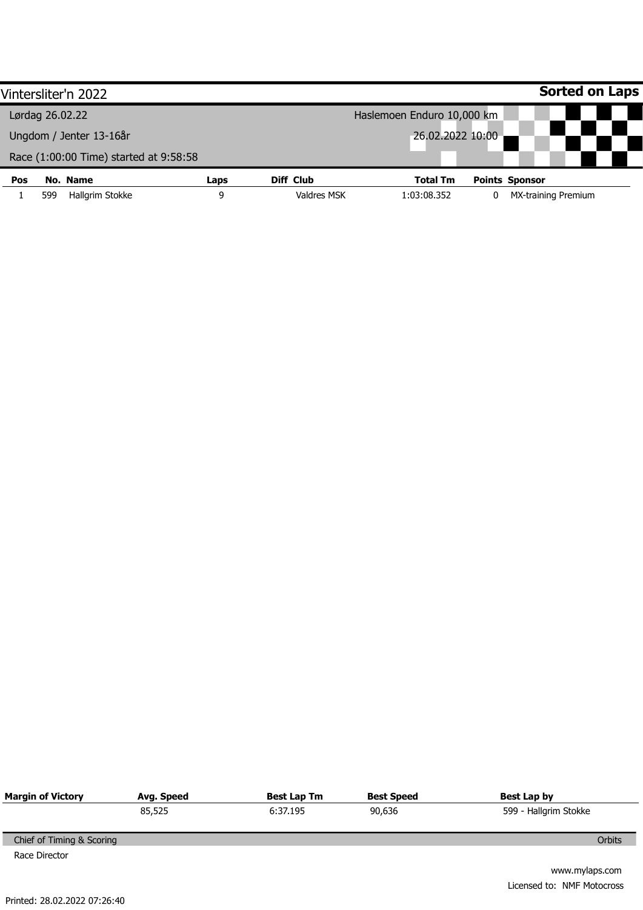|            | Vintersliter'n 2022                    |      |                    |                            |  | <b>Sorted on Laps</b>      |  |  |
|------------|----------------------------------------|------|--------------------|----------------------------|--|----------------------------|--|--|
|            | Lørdag 26.02.22                        |      |                    | Haslemoen Enduro 10,000 km |  |                            |  |  |
|            | Ungdom / Jenter 13-16år                |      | 26.02.2022 10:00   |                            |  |                            |  |  |
|            | Race (1:00:00 Time) started at 9:58:58 |      |                    |                            |  |                            |  |  |
| <b>Pos</b> | No. Name                               | Laps | Diff Club          | <b>Total Tm</b>            |  | <b>Points Sponsor</b>      |  |  |
|            | Hallgrim Stokke<br>599                 | 9    | <b>Valdres MSK</b> | 1:03:08.352                |  | <b>MX-training Premium</b> |  |  |

| <b>Margin of Victory</b>  | Avg. Speed | Best Lap Tm | <b>Best Speed</b> | Best Lap by           |
|---------------------------|------------|-------------|-------------------|-----------------------|
|                           | 85,525     | 6:37.195    | 90,636            | 599 - Hallgrim Stokke |
|                           |            |             |                   |                       |
| Chief of Timing & Scoring |            |             |                   | Orbits                |
| Race Director             |            |             |                   |                       |
|                           |            |             |                   | www.mylaps.com        |

Licensed to: NMF Motocross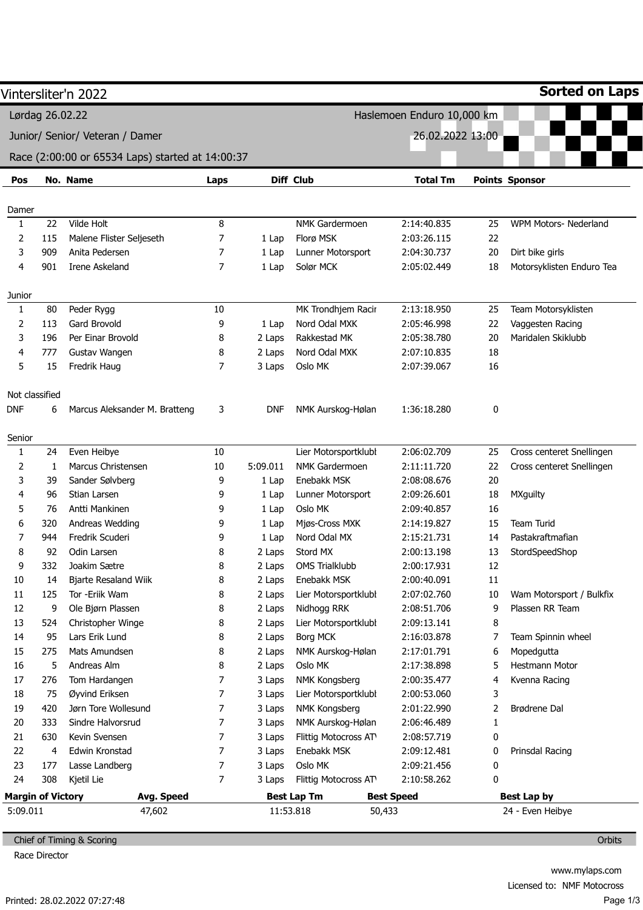|                          |     |                                                  |        |            |                       | Haslemoen Enduro 10,000 km |        |                           |
|--------------------------|-----|--------------------------------------------------|--------|------------|-----------------------|----------------------------|--------|---------------------------|
|                          |     | Lørdag 26.02.22                                  |        |            |                       |                            |        |                           |
|                          |     | Junior/ Senior/ Veteran / Damer                  |        |            |                       | 26.02.2022 13:00           |        |                           |
|                          |     | Race (2:00:00 or 65534 Laps) started at 14:00:37 |        |            |                       |                            |        |                           |
| Pos                      |     | No. Name                                         | Laps   |            | Diff Club             | <b>Total Tm</b>            |        | <b>Points Sponsor</b>     |
| Damer                    |     |                                                  |        |            |                       |                            |        |                           |
| 1                        | 22  | Vilde Holt                                       | $\, 8$ |            | NMK Gardermoen        | 2:14:40.835                | 25     | WPM Motors- Nederland     |
| 2                        | 115 | Malene Flister Seljeseth                         | 7      | 1 Lap      | Florø MSK             | 2:03:26.115                | 22     |                           |
| 3                        | 909 | Anita Pedersen                                   | 7      | 1 Lap      | Lunner Motorsport     | 2:04:30.737                | 20     | Dirt bike girls           |
| 4                        | 901 | Irene Askeland                                   | 7      | 1 Lap      | Solør MCK             | 2:05:02.449                | 18     | Motorsyklisten Enduro Tea |
| Junior                   |     |                                                  |        |            |                       |                            |        |                           |
| 1                        | 80  | Peder Rygg                                       | 10     |            | MK Trondhjem Racir    | 2:13:18.950                | 25     | Team Motorsyklisten       |
| 2                        | 113 | Gard Brovold                                     | 9      | 1 Lap      | Nord Odal MXK         | 2:05:46.998                | 22     | Vaggesten Racing          |
| 3                        | 196 | Per Einar Brovold                                | 8      | 2 Laps     | Rakkestad MK          | 2:05:38.780                | 20     | Maridalen Skiklubb        |
| 4                        | 777 | Gustav Wangen                                    | 8      | 2 Laps     | Nord Odal MXK         | 2:07:10.835                | 18     |                           |
| 5                        | 15  | Fredrik Haug                                     | 7      | 3 Laps     | Oslo MK               | 2:07:39.067                | 16     |                           |
| Not classified           |     |                                                  |        |            |                       |                            |        |                           |
| <b>DNF</b>               | 6   | Marcus Aleksander M. Bratteng                    | 3      | <b>DNF</b> | NMK Aurskog-Hølan     | 1:36:18.280                | 0      |                           |
|                          |     |                                                  |        |            |                       |                            |        |                           |
| Senior<br>1              | 24  | Even Heibye                                      | 10     |            | Lier Motorsportklubl  | 2:06:02.709                | 25     | Cross centeret Snellingen |
| 2                        | 1   | Marcus Christensen                               | 10     | 5:09.011   | <b>NMK Gardermoen</b> | 2:11:11.720                | 22     | Cross centeret Snellingen |
| 3                        | 39  | Sander Sølvberg                                  | 9      | 1 Lap      | Enebakk MSK           | 2:08:08.676                | 20     |                           |
| 4                        | 96  | Stian Larsen                                     | 9      | 1 Lap      | Lunner Motorsport     | 2:09:26.601                | 18     | <b>MXguilty</b>           |
| 5                        | 76  | Antti Mankinen                                   | 9      | 1 Lap      | Oslo MK               | 2:09:40.857                | 16     |                           |
| 6                        | 320 | Andreas Wedding                                  | 9      | 1 Lap      | Mjøs-Cross MXK        | 2:14:19.827                | 15     | <b>Team Turid</b>         |
| 7                        | 944 | Fredrik Scuderi                                  | 9      | 1 Lap      | Nord Odal MX          | 2:15:21.731                | 14     | Pastakraftmafian          |
| 8                        | 92  | Odin Larsen                                      | 8      | 2 Laps     | Stord MX              | 2:00:13.198                | 13     | StordSpeedShop            |
| 9                        | 332 | Joakim Sætre                                     | 8      | 2 Laps     | <b>OMS Trialklubb</b> | 2:00:17.931                | 12     |                           |
| 10                       | 14  | <b>Bjarte Resaland Wiik</b>                      | 8      | 2 Laps     | Enebakk MSK           | 2:00:40.091                | $11\,$ |                           |
| 11                       | 125 | Tor -Eriik Wam                                   | 8      | 2 Laps     | Lier Motorsportklubl  | 2:07:02.760                | 10     | Wam Motorsport / Bulkfix  |
| 12                       | 9   | Ole Bjørn Plassen                                | 8      | 2 Laps     | Nidhogg RRK           | 2:08:51.706                | 9      | Plassen RR Team           |
| 13                       | 524 | Christopher Winge                                | 8      | 2 Laps     | Lier Motorsportklubl  | 2:09:13.141                | 8      |                           |
| 14                       | 95  | Lars Erik Lund                                   | 8      | 2 Laps     | Borg MCK              | 2:16:03.878                | 7      | Team Spinnin wheel        |
| 15                       | 275 | Mats Amundsen                                    | 8      | 2 Laps     | NMK Aurskog-Hølan     | 2:17:01.791                | 6      | Mopedgutta                |
| 16                       | 5   | Andreas Alm                                      | 8      | 2 Laps     | Oslo MK               | 2:17:38.898                | 5      | Hestmann Motor            |
| 17                       | 276 | Tom Hardangen                                    | 7      | 3 Laps     | NMK Kongsberg         | 2:00:35.477                | 4      | Kvenna Racing             |
| 18                       | 75  | Øyvind Eriksen                                   | 7      | 3 Laps     | Lier Motorsportklubl  | 2:00:53.060                | 3      |                           |
| 19                       | 420 | Jørn Tore Wollesund                              | 7      | 3 Laps     | NMK Kongsberg         | 2:01:22.990                | 2      | Brødrene Dal              |
| 20                       | 333 | Sindre Halvorsrud                                | 7      | 3 Laps     | NMK Aurskog-Hølan     | 2:06:46.489                | 1      |                           |
| 21                       | 630 | Kevin Svensen                                    | 7      | 3 Laps     | Flittig Motocross AT  | 2:08:57.719                | 0      |                           |
| 22                       | 4   | Edwin Kronstad                                   | 7      | 3 Laps     | Enebakk MSK           | 2:09:12.481                | 0      | Prinsdal Racing           |
| 23                       | 177 | Lasse Landberg                                   | 7      | 3 Laps     | Oslo MK               | 2:09:21.456                | 0      |                           |
| 24                       | 308 | Kjetil Lie                                       | 7      | 3 Laps     | Flittig Motocross AT  | 2:10:58.262                | 0      |                           |
| <b>Margin of Victory</b> |     | Avg. Speed                                       |        |            | <b>Best Lap Tm</b>    | <b>Best Speed</b>          |        | Best Lap by               |

Chief of Timing & Scoring

Race Director

**Orbits**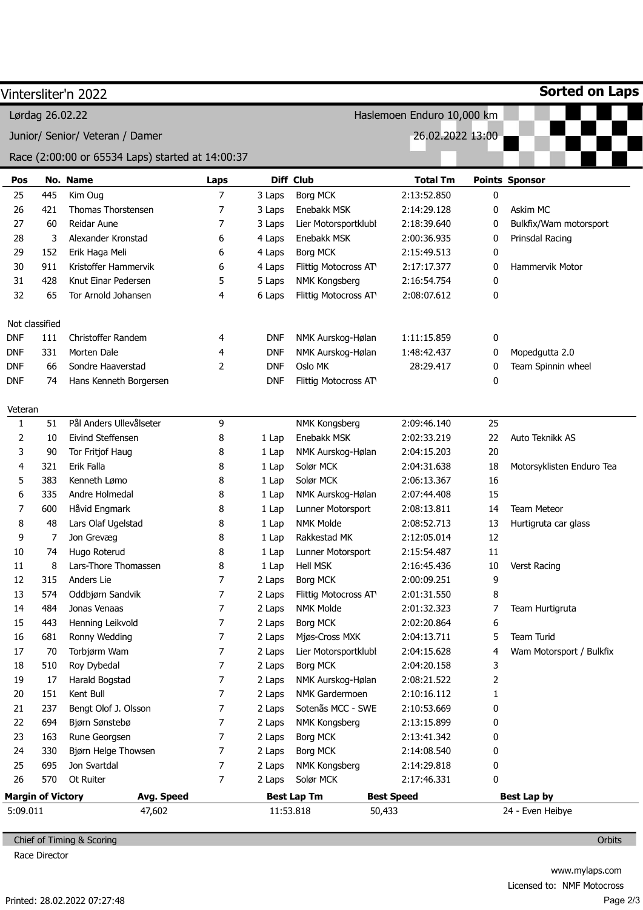|            |                          | Vintersliter'n 2022                              |                |            |                      |                            |    | <b>Sorted on Laps</b>     |
|------------|--------------------------|--------------------------------------------------|----------------|------------|----------------------|----------------------------|----|---------------------------|
|            | Lørdag 26.02.22          |                                                  |                |            |                      | Haslemoen Enduro 10,000 km |    |                           |
|            |                          | Junior/ Senior/ Veteran / Damer                  |                |            |                      | 26.02.2022 13:00           |    |                           |
|            |                          | Race (2:00:00 or 65534 Laps) started at 14:00:37 |                |            |                      |                            |    |                           |
| Pos        |                          | No. Name                                         | Laps           |            | Diff Club            | <b>Total Tm</b>            |    | <b>Points Sponsor</b>     |
| 25         | 445                      | Kim Oug                                          | 7              | 3 Laps     | <b>Borg MCK</b>      | 2:13:52.850                | 0  |                           |
| 26         | 421                      | Thomas Thorstensen                               | 7              | 3 Laps     | Enebakk MSK          | 2:14:29.128                | 0  | Askim MC                  |
| 27         | 60                       | Reidar Aune                                      | 7              | 3 Laps     | Lier Motorsportklubl | 2:18:39.640                | 0  | Bulkfix/Wam motorsport    |
| 28         | 3                        | Alexander Kronstad                               | 6              | 4 Laps     | Enebakk MSK          | 2:00:36.935                | 0  | Prinsdal Racing           |
| 29         | 152                      | Erik Haga Meli                                   | 6              | 4 Laps     | <b>Borg MCK</b>      | 2:15:49.513                | 0  |                           |
| 30         | 911                      | Kristoffer Hammervik                             | 6              | 4 Laps     | Flittig Motocross AT | 2:17:17.377                | 0  | Hammervik Motor           |
| 31         | 428                      | Knut Einar Pedersen                              | 5              | 5 Laps     | NMK Kongsberg        | 2:16:54.754                | 0  |                           |
| 32         | 65                       | Tor Arnold Johansen                              | 4              | 6 Laps     | Flittig Motocross AT | 2:08:07.612                | 0  |                           |
|            | Not classified           |                                                  |                |            |                      |                            |    |                           |
| <b>DNF</b> | 111                      | <b>Christoffer Randem</b>                        | 4              | <b>DNF</b> | NMK Aurskog-Hølan    | 1:11:15.859                | 0  |                           |
| <b>DNF</b> | 331                      | Morten Dale                                      | 4              | <b>DNF</b> | NMK Aurskog-Hølan    | 1:48:42.437                | 0  | Mopedgutta 2.0            |
| <b>DNF</b> | 66                       | Sondre Haaverstad                                | 2              | <b>DNF</b> | Oslo MK              | 28:29.417                  | 0  | Team Spinnin wheel        |
| <b>DNF</b> | 74                       | Hans Kenneth Borgersen                           |                | <b>DNF</b> | Flittig Motocross AT |                            | 0  |                           |
| Veteran    |                          |                                                  |                |            |                      |                            |    |                           |
| 1          | 51                       | Pål Anders Ullevålseter                          | 9              |            | NMK Kongsberg        | 2:09:46.140                | 25 |                           |
| 2          | 10                       | Eivind Steffensen                                | 8              | 1 Lap      | Enebakk MSK          | 2:02:33.219                | 22 | Auto Teknikk AS           |
| 3          | 90                       | Tor Fritjof Haug                                 | 8              | 1 Lap      | NMK Aurskog-Hølan    | 2:04:15.203                | 20 |                           |
| 4          | 321                      | Erik Falla                                       | 8              | 1 Lap      | Solør MCK            | 2:04:31.638                | 18 | Motorsyklisten Enduro Tea |
| 5          | 383                      | Kenneth Lømo                                     | 8              | 1 Lap      | Solør MCK            | 2:06:13.367                | 16 |                           |
| 6          | 335                      | Andre Holmedal                                   | 8              | 1 Lap      | NMK Aurskog-Hølan    | 2:07:44.408                | 15 |                           |
| 7          | 600                      | Håvid Engmark                                    | 8              | 1 Lap      | Lunner Motorsport    | 2:08:13.811                | 14 | <b>Team Meteor</b>        |
| 8          | 48                       | Lars Olaf Ugelstad                               | 8              | 1 Lap      | <b>NMK Molde</b>     | 2:08:52.713                | 13 | Hurtigruta car glass      |
| 9          | 7                        | Jon Grevæg                                       | 8              | 1 Lap      | Rakkestad MK         | 2:12:05.014                | 12 |                           |
| 10         | 74                       | Hugo Roterud                                     | 8              | 1 Lap      | Lunner Motorsport    | 2:15:54.487                | 11 |                           |
| $11\,$     | 8                        | Lars-Thore Thomassen                             | 8              | 1 Lap      | Hell MSK             | 2:16:45.436                | 10 | Verst Racing              |
| 12         | 315                      | Anders Lie                                       | 7              | 2 Laps     | <b>Borg MCK</b>      | 2:00:09.251                | 9  |                           |
| 13         | 574                      | Oddbjørn Sandvik                                 | 7              | 2 Laps     | Flittig Motocross AT | 2:01:31.550                | 8  |                           |
| 14         | 484                      | Jonas Venaas                                     | 7              | 2 Laps     | NMK Molde            | 2:01:32.323                | 7  | Team Hurtigruta           |
| 15         | 443                      | Henning Leikvold                                 | 7              | 2 Laps     | Borg MCK             | 2:02:20.864                | 6  |                           |
| 16         | 681                      | Ronny Wedding                                    | 7              | 2 Laps     | Mjøs-Cross MXK       | 2:04:13.711                | 5  | Team Turid                |
| 17         | 70                       | Torbjørm Wam                                     | 7              | 2 Laps     | Lier Motorsportklubl | 2:04:15.628                | 4  | Wam Motorsport / Bulkfix  |
| 18         | 510                      | Roy Dybedal                                      | 7              | 2 Laps     | Borg MCK             | 2:04:20.158                | 3  |                           |
| 19         | 17                       | Harald Bogstad                                   | 7              | 2 Laps     | NMK Aurskog-Hølan    | 2:08:21.522                | 2  |                           |
| 20         | 151                      | Kent Bull                                        | 7              | 2 Laps     | NMK Gardermoen       | 2:10:16.112                | 1  |                           |
| 21         | 237                      | Bengt Olof J. Olsson                             | 7              | 2 Laps     | Sotenãs MCC - SWE    | 2:10:53.669                | 0  |                           |
| 22         | 694                      | Bjørn Sønstebø                                   | 7              | 2 Laps     | NMK Kongsberg        | 2:13:15.899                | 0  |                           |
| 23         | 163                      | Rune Georgsen                                    | $\overline{7}$ | 2 Laps     | Borg MCK             | 2:13:41.342                | 0  |                           |
| 24         | 330                      | Bjørn Helge Thowsen                              | 7              | 2 Laps     | Borg MCK             | 2:14:08.540                | 0  |                           |
| 25         | 695                      | Jon Svartdal                                     | 7              | 2 Laps     | NMK Kongsberg        | 2:14:29.818                | 0  |                           |
| 26         | 570                      | Ot Ruiter                                        | 7              | 2 Laps     | Solør MCK            | 2:17:46.331                | 0  |                           |
|            | <b>Margin of Victory</b> | Avg. Speed                                       |                |            | <b>Best Lap Tm</b>   | <b>Best Speed</b>          |    | <b>Best Lap by</b>        |
| 5:09.011   |                          | 47,602                                           |                |            | 11:53.818            | 50,433                     |    | 24 - Even Heibye          |

Chief of Timing & Scoring

Race Director

**Orbits**